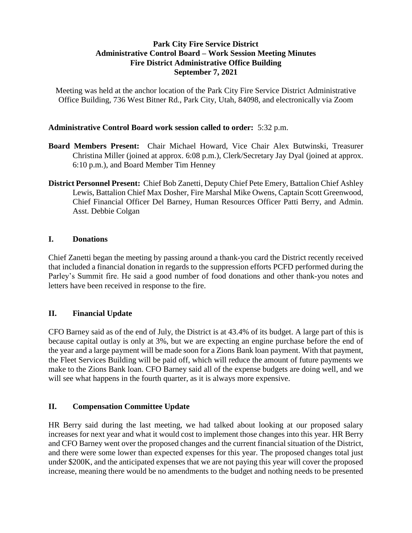### **Park City Fire Service District Administrative Control Board – Work Session Meeting Minutes Fire District Administrative Office Building September 7, 2021**

Meeting was held at the anchor location of the Park City Fire Service District Administrative Office Building, 736 West Bitner Rd., Park City, Utah, 84098, and electronically via Zoom

### **Administrative Control Board work session called to order:** 5:32 p.m.

- **Board Members Present:** Chair Michael Howard, Vice Chair Alex Butwinski, Treasurer Christina Miller (joined at approx. 6:08 p.m.), Clerk/Secretary Jay Dyal (joined at approx. 6:10 p.m.), and Board Member Tim Henney
- **District Personnel Present:** Chief Bob Zanetti, Deputy Chief Pete Emery, Battalion Chief Ashley Lewis, Battalion Chief Max Dosher, Fire Marshal Mike Owens, Captain Scott Greenwood, Chief Financial Officer Del Barney, Human Resources Officer Patti Berry, and Admin. Asst. Debbie Colgan

#### **I. Donations**

Chief Zanetti began the meeting by passing around a thank-you card the District recently received that included a financial donation in regards to the suppression efforts PCFD performed during the Parley's Summit fire. He said a good number of food donations and other thank-you notes and letters have been received in response to the fire.

## **II. Financial Update**

CFO Barney said as of the end of July, the District is at 43.4% of its budget. A large part of this is because capital outlay is only at 3%, but we are expecting an engine purchase before the end of the year and a large payment will be made soon for a Zions Bank loan payment. With that payment, the Fleet Services Building will be paid off, which will reduce the amount of future payments we make to the Zions Bank loan. CFO Barney said all of the expense budgets are doing well, and we will see what happens in the fourth quarter, as it is always more expensive.

#### **II. Compensation Committee Update**

HR Berry said during the last meeting, we had talked about looking at our proposed salary increases for next year and what it would cost to implement those changes into this year. HR Berry and CFO Barney went over the proposed changes and the current financial situation of the District, and there were some lower than expected expenses for this year. The proposed changes total just under \$200K, and the anticipated expenses that we are not paying this year will cover the proposed increase, meaning there would be no amendments to the budget and nothing needs to be presented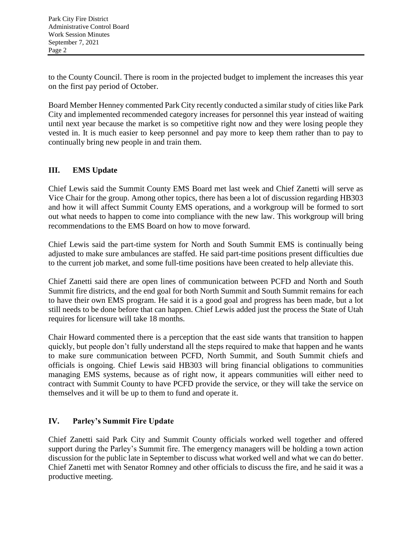to the County Council. There is room in the projected budget to implement the increases this year on the first pay period of October.

Board Member Henney commented Park City recently conducted a similar study of cities like Park City and implemented recommended category increases for personnel this year instead of waiting until next year because the market is so competitive right now and they were losing people they vested in. It is much easier to keep personnel and pay more to keep them rather than to pay to continually bring new people in and train them.

# **III. EMS Update**

Chief Lewis said the Summit County EMS Board met last week and Chief Zanetti will serve as Vice Chair for the group. Among other topics, there has been a lot of discussion regarding HB303 and how it will affect Summit County EMS operations, and a workgroup will be formed to sort out what needs to happen to come into compliance with the new law. This workgroup will bring recommendations to the EMS Board on how to move forward.

Chief Lewis said the part-time system for North and South Summit EMS is continually being adjusted to make sure ambulances are staffed. He said part-time positions present difficulties due to the current job market, and some full-time positions have been created to help alleviate this.

Chief Zanetti said there are open lines of communication between PCFD and North and South Summit fire districts, and the end goal for both North Summit and South Summit remains for each to have their own EMS program. He said it is a good goal and progress has been made, but a lot still needs to be done before that can happen. Chief Lewis added just the process the State of Utah requires for licensure will take 18 months.

Chair Howard commented there is a perception that the east side wants that transition to happen quickly, but people don't fully understand all the steps required to make that happen and he wants to make sure communication between PCFD, North Summit, and South Summit chiefs and officials is ongoing. Chief Lewis said HB303 will bring financial obligations to communities managing EMS systems, because as of right now, it appears communities will either need to contract with Summit County to have PCFD provide the service, or they will take the service on themselves and it will be up to them to fund and operate it.

# **IV. Parley's Summit Fire Update**

Chief Zanetti said Park City and Summit County officials worked well together and offered support during the Parley's Summit fire. The emergency managers will be holding a town action discussion for the public late in September to discuss what worked well and what we can do better. Chief Zanetti met with Senator Romney and other officials to discuss the fire, and he said it was a productive meeting.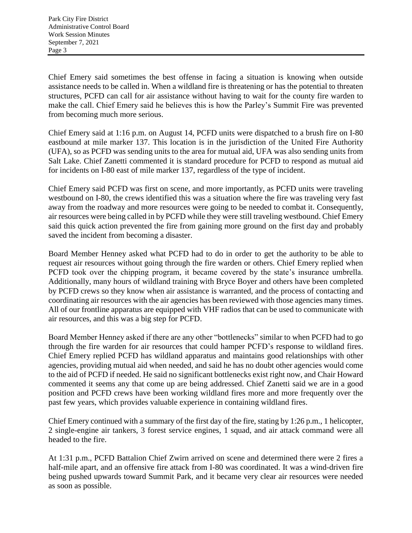Chief Emery said sometimes the best offense in facing a situation is knowing when outside assistance needs to be called in. When a wildland fire is threatening or has the potential to threaten structures, PCFD can call for air assistance without having to wait for the county fire warden to make the call. Chief Emery said he believes this is how the Parley's Summit Fire was prevented from becoming much more serious.

Chief Emery said at 1:16 p.m. on August 14, PCFD units were dispatched to a brush fire on I-80 eastbound at mile marker 137. This location is in the jurisdiction of the United Fire Authority (UFA), so as PCFD was sending units to the area for mutual aid, UFA was also sending units from Salt Lake. Chief Zanetti commented it is standard procedure for PCFD to respond as mutual aid for incidents on I-80 east of mile marker 137, regardless of the type of incident.

Chief Emery said PCFD was first on scene, and more importantly, as PCFD units were traveling westbound on I-80, the crews identified this was a situation where the fire was traveling very fast away from the roadway and more resources were going to be needed to combat it. Consequently, air resources were being called in by PCFD while they were still traveling westbound. Chief Emery said this quick action prevented the fire from gaining more ground on the first day and probably saved the incident from becoming a disaster.

Board Member Henney asked what PCFD had to do in order to get the authority to be able to request air resources without going through the fire warden or others. Chief Emery replied when PCFD took over the chipping program, it became covered by the state's insurance umbrella. Additionally, many hours of wildland training with Bryce Boyer and others have been completed by PCFD crews so they know when air assistance is warranted, and the process of contacting and coordinating air resources with the air agencies has been reviewed with those agencies many times. All of our frontline apparatus are equipped with VHF radios that can be used to communicate with air resources, and this was a big step for PCFD.

Board Member Henney asked if there are any other "bottlenecks" similar to when PCFD had to go through the fire warden for air resources that could hamper PCFD's response to wildland fires. Chief Emery replied PCFD has wildland apparatus and maintains good relationships with other agencies, providing mutual aid when needed, and said he has no doubt other agencies would come to the aid of PCFD if needed. He said no significant bottlenecks exist right now, and Chair Howard commented it seems any that come up are being addressed. Chief Zanetti said we are in a good position and PCFD crews have been working wildland fires more and more frequently over the past few years, which provides valuable experience in containing wildland fires.

Chief Emery continued with a summary of the first day of the fire, stating by 1:26 p.m., 1 helicopter, 2 single-engine air tankers, 3 forest service engines, 1 squad, and air attack command were all headed to the fire.

At 1:31 p.m., PCFD Battalion Chief Zwirn arrived on scene and determined there were 2 fires a half-mile apart, and an offensive fire attack from I-80 was coordinated. It was a wind-driven fire being pushed upwards toward Summit Park, and it became very clear air resources were needed as soon as possible.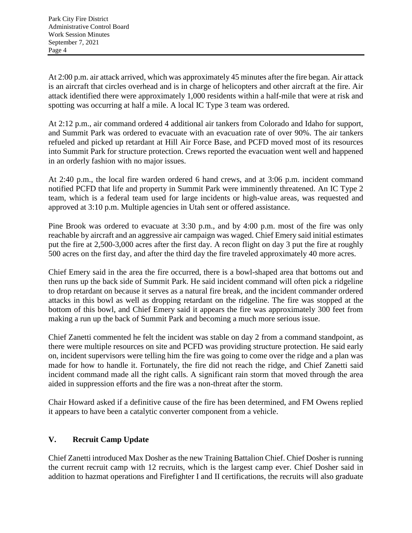At 2:00 p.m. air attack arrived, which was approximately 45 minutes after the fire began. Air attack is an aircraft that circles overhead and is in charge of helicopters and other aircraft at the fire. Air attack identified there were approximately 1,000 residents within a half-mile that were at risk and spotting was occurring at half a mile. A local IC Type 3 team was ordered.

At 2:12 p.m., air command ordered 4 additional air tankers from Colorado and Idaho for support, and Summit Park was ordered to evacuate with an evacuation rate of over 90%. The air tankers refueled and picked up retardant at Hill Air Force Base, and PCFD moved most of its resources into Summit Park for structure protection. Crews reported the evacuation went well and happened in an orderly fashion with no major issues.

At 2:40 p.m., the local fire warden ordered 6 hand crews, and at 3:06 p.m. incident command notified PCFD that life and property in Summit Park were imminently threatened. An IC Type 2 team, which is a federal team used for large incidents or high-value areas, was requested and approved at 3:10 p.m. Multiple agencies in Utah sent or offered assistance.

Pine Brook was ordered to evacuate at 3:30 p.m., and by 4:00 p.m. most of the fire was only reachable by aircraft and an aggressive air campaign was waged. Chief Emery said initial estimates put the fire at 2,500-3,000 acres after the first day. A recon flight on day 3 put the fire at roughly 500 acres on the first day, and after the third day the fire traveled approximately 40 more acres.

Chief Emery said in the area the fire occurred, there is a bowl-shaped area that bottoms out and then runs up the back side of Summit Park. He said incident command will often pick a ridgeline to drop retardant on because it serves as a natural fire break, and the incident commander ordered attacks in this bowl as well as dropping retardant on the ridgeline. The fire was stopped at the bottom of this bowl, and Chief Emery said it appears the fire was approximately 300 feet from making a run up the back of Summit Park and becoming a much more serious issue.

Chief Zanetti commented he felt the incident was stable on day 2 from a command standpoint, as there were multiple resources on site and PCFD was providing structure protection. He said early on, incident supervisors were telling him the fire was going to come over the ridge and a plan was made for how to handle it. Fortunately, the fire did not reach the ridge, and Chief Zanetti said incident command made all the right calls. A significant rain storm that moved through the area aided in suppression efforts and the fire was a non-threat after the storm.

Chair Howard asked if a definitive cause of the fire has been determined, and FM Owens replied it appears to have been a catalytic converter component from a vehicle.

# **V. Recruit Camp Update**

Chief Zanetti introduced Max Dosher as the new Training Battalion Chief. Chief Dosher is running the current recruit camp with 12 recruits, which is the largest camp ever. Chief Dosher said in addition to hazmat operations and Firefighter I and II certifications, the recruits will also graduate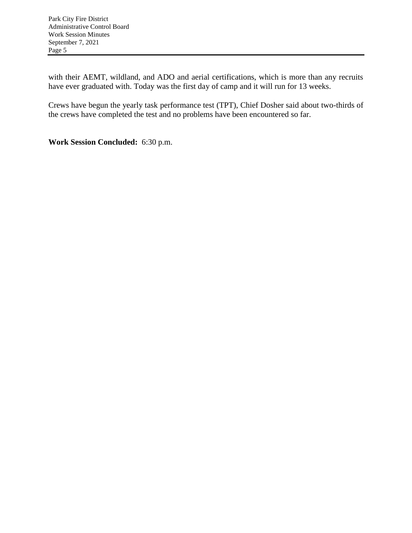with their AEMT, wildland, and ADO and aerial certifications, which is more than any recruits have ever graduated with. Today was the first day of camp and it will run for 13 weeks.

Crews have begun the yearly task performance test (TPT), Chief Dosher said about two-thirds of the crews have completed the test and no problems have been encountered so far.

**Work Session Concluded:** 6:30 p.m.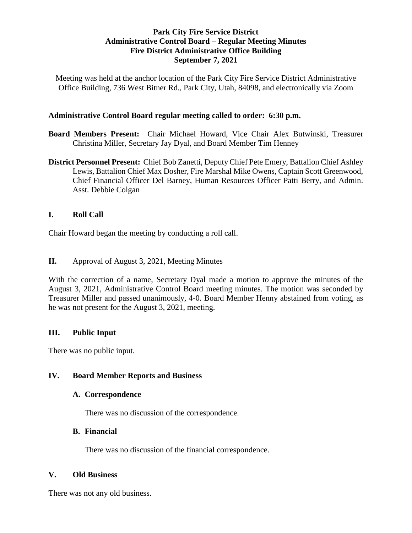### **Park City Fire Service District Administrative Control Board – Regular Meeting Minutes Fire District Administrative Office Building September 7, 2021**

Meeting was held at the anchor location of the Park City Fire Service District Administrative Office Building, 736 West Bitner Rd., Park City, Utah, 84098, and electronically via Zoom

#### **Administrative Control Board regular meeting called to order: 6:30 p.m.**

- **Board Members Present:** Chair Michael Howard, Vice Chair Alex Butwinski, Treasurer Christina Miller, Secretary Jay Dyal, and Board Member Tim Henney
- **District Personnel Present:** Chief Bob Zanetti, Deputy Chief Pete Emery, Battalion Chief Ashley Lewis, Battalion Chief Max Dosher, Fire Marshal Mike Owens, Captain Scott Greenwood, Chief Financial Officer Del Barney, Human Resources Officer Patti Berry, and Admin. Asst. Debbie Colgan

## **I. Roll Call**

Chair Howard began the meeting by conducting a roll call.

**II.** Approval of August 3, 2021, Meeting Minutes

With the correction of a name, Secretary Dyal made a motion to approve the minutes of the August 3, 2021, Administrative Control Board meeting minutes. The motion was seconded by Treasurer Miller and passed unanimously, 4-0. Board Member Henny abstained from voting, as he was not present for the August 3, 2021, meeting.

#### **III. Public Input**

There was no public input.

#### **IV. Board Member Reports and Business**

#### **A. Correspondence**

There was no discussion of the correspondence.

#### **B. Financial**

There was no discussion of the financial correspondence.

#### **V. Old Business**

There was not any old business.